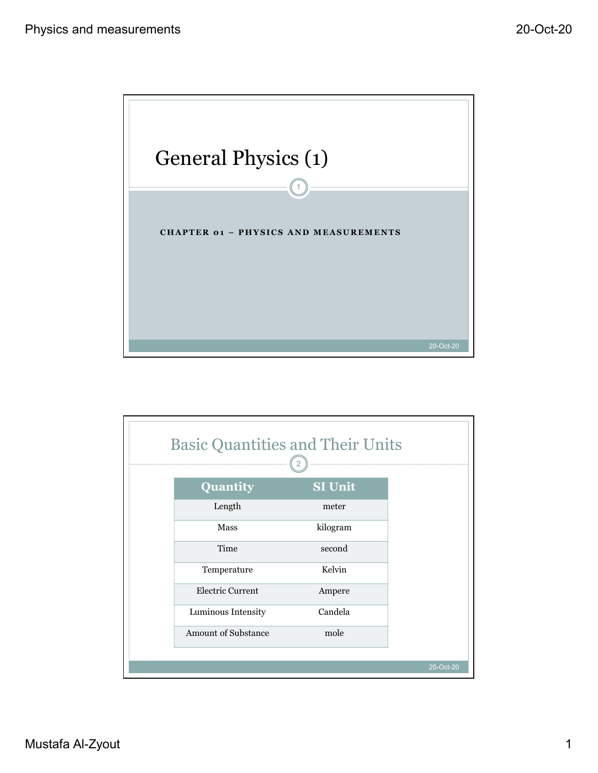

| 20-Oct-20<br><b>Basic Quantities and Their Units</b><br>$\left( \frac{1}{2} \right)$<br>Quantity<br>SI Unit<br>Length<br>$\,$ meter<br>kilogram<br>${\rm Mass}$<br>Time<br>second<br>Temperature<br>Kelvin<br>Electric Current<br>Ampere<br>Luminous Intensity<br>Candela<br>Amount of Substance<br>mole<br>20-Oct-20 |
|-----------------------------------------------------------------------------------------------------------------------------------------------------------------------------------------------------------------------------------------------------------------------------------------------------------------------|
|                                                                                                                                                                                                                                                                                                                       |
|                                                                                                                                                                                                                                                                                                                       |
|                                                                                                                                                                                                                                                                                                                       |
|                                                                                                                                                                                                                                                                                                                       |
|                                                                                                                                                                                                                                                                                                                       |
|                                                                                                                                                                                                                                                                                                                       |
|                                                                                                                                                                                                                                                                                                                       |
|                                                                                                                                                                                                                                                                                                                       |
|                                                                                                                                                                                                                                                                                                                       |
| Mustafa Al-Zyout                                                                                                                                                                                                                                                                                                      |
|                                                                                                                                                                                                                                                                                                                       |
|                                                                                                                                                                                                                                                                                                                       |
|                                                                                                                                                                                                                                                                                                                       |
|                                                                                                                                                                                                                                                                                                                       |
|                                                                                                                                                                                                                                                                                                                       |
|                                                                                                                                                                                                                                                                                                                       |
|                                                                                                                                                                                                                                                                                                                       |
|                                                                                                                                                                                                                                                                                                                       |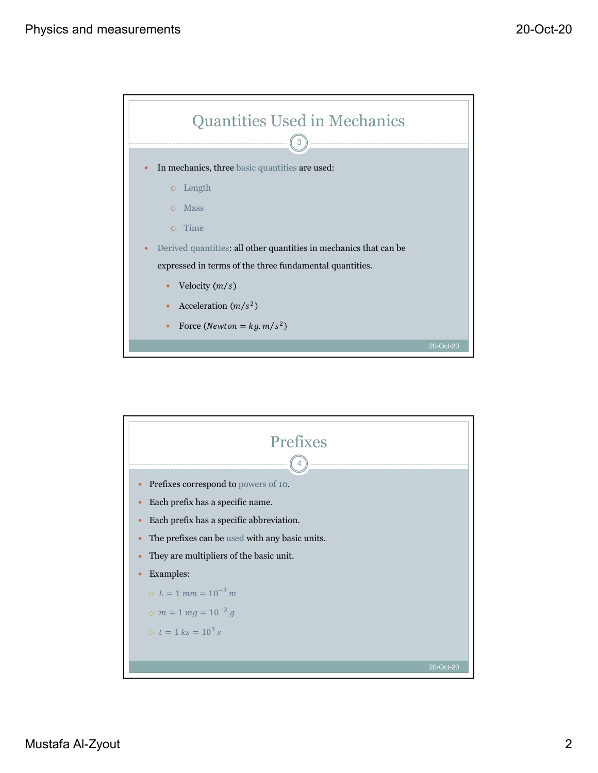

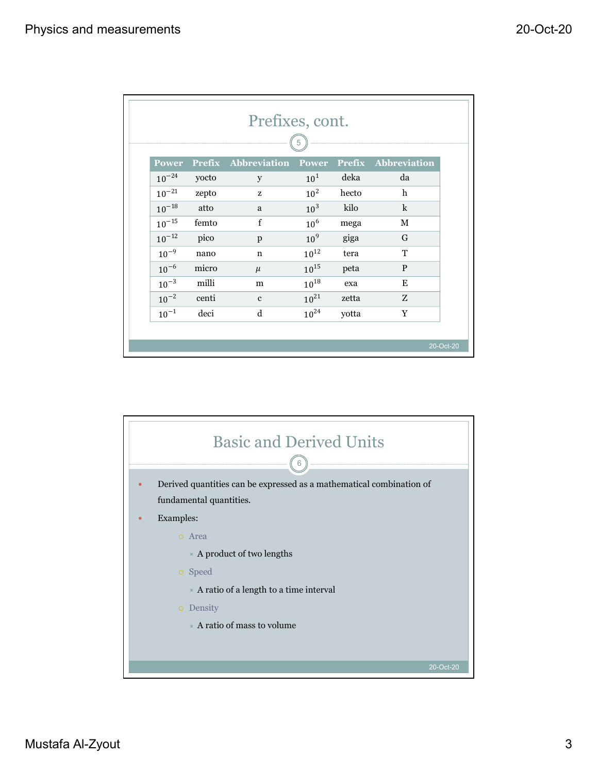| surements  |               |                 |                 |               |                           |
|------------|---------------|-----------------|-----------------|---------------|---------------------------|
|            |               |                 |                 |               |                           |
|            |               |                 |                 |               |                           |
|            |               |                 |                 |               |                           |
|            |               | Prefixes, cont. |                 |               |                           |
|            |               |                 | 5               |               |                           |
| Power      | <b>Prefix</b> | Abbreviation    | Power           | <b>Prefix</b> | Abbreviation              |
| $10^{-24}$ | yocto         | $\mathbf{y}$    | $10^1$          | deka          | da                        |
| $10^{-21}$ | zepto         | ${\bf Z}$       | 10 <sup>2</sup> | hecto         | $\boldsymbol{\mathrm{h}}$ |
| $10^{-18}$ | atto          | $\mathbf{a}$    | 10 <sup>3</sup> | kilo          | $\mathbf k$               |
| $10^{-15}$ | femto         | $\mathbf f$     | $10^6$          | mega          | $\mathbf M$               |
| $10^{-12}$ | pico          | $\, {\bf p}$    | 10 <sup>9</sup> | giga          | ${\bf G}$                 |
|            |               | $\mathbf n$     | $10^{12}$       | tera          | $\mathbf T$               |
| $10^{-9}$  | $\,$ nano     |                 |                 |               |                           |
| $10^{-6}$  | micro         | $\mu$           | $10^{15}$       | peta          | ${\bf P}$                 |
| $10^{-3}$  | milli         | ${\bf m}$       | $10^{18}$       | exa           | ${\bf E}$                 |
| $10^{-2}$  | centi         | $\mathbf c$     | $10^{21}$       | zetta         | ${\bf Z}$                 |